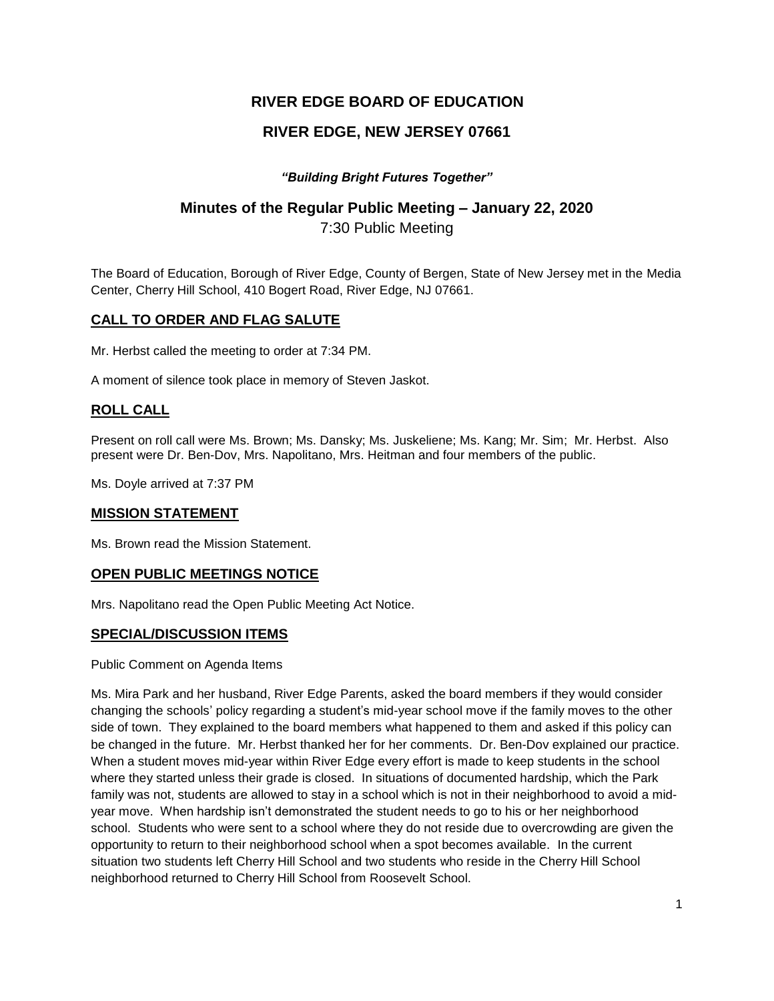# **RIVER EDGE BOARD OF EDUCATION**

# **RIVER EDGE, NEW JERSEY 07661**

### *"Building Bright Futures Together"*

# **Minutes of the Regular Public Meeting – January 22, 2020**

7:30 Public Meeting

The Board of Education, Borough of River Edge, County of Bergen, State of New Jersey met in the Media Center, Cherry Hill School, 410 Bogert Road, River Edge, NJ 07661.

## **CALL TO ORDER AND FLAG SALUTE**

Mr. Herbst called the meeting to order at 7:34 PM.

A moment of silence took place in memory of Steven Jaskot.

### **ROLL CALL**

Present on roll call were Ms. Brown; Ms. Dansky; Ms. Juskeliene; Ms. Kang; Mr. Sim; Mr. Herbst. Also present were Dr. Ben-Dov, Mrs. Napolitano, Mrs. Heitman and four members of the public.

Ms. Doyle arrived at 7:37 PM

#### **MISSION STATEMENT**

Ms. Brown read the Mission Statement.

#### **OPEN PUBLIC MEETINGS NOTICE**

Mrs. Napolitano read the Open Public Meeting Act Notice.

#### **SPECIAL/DISCUSSION ITEMS**

Public Comment on Agenda Items

Ms. Mira Park and her husband, River Edge Parents, asked the board members if they would consider changing the schools' policy regarding a student's mid-year school move if the family moves to the other side of town. They explained to the board members what happened to them and asked if this policy can be changed in the future. Mr. Herbst thanked her for her comments. Dr. Ben-Dov explained our practice. When a student moves mid-year within River Edge every effort is made to keep students in the school where they started unless their grade is closed. In situations of documented hardship, which the Park family was not, students are allowed to stay in a school which is not in their neighborhood to avoid a midyear move. When hardship isn't demonstrated the student needs to go to his or her neighborhood school. Students who were sent to a school where they do not reside due to overcrowding are given the opportunity to return to their neighborhood school when a spot becomes available. In the current situation two students left Cherry Hill School and two students who reside in the Cherry Hill School neighborhood returned to Cherry Hill School from Roosevelt School.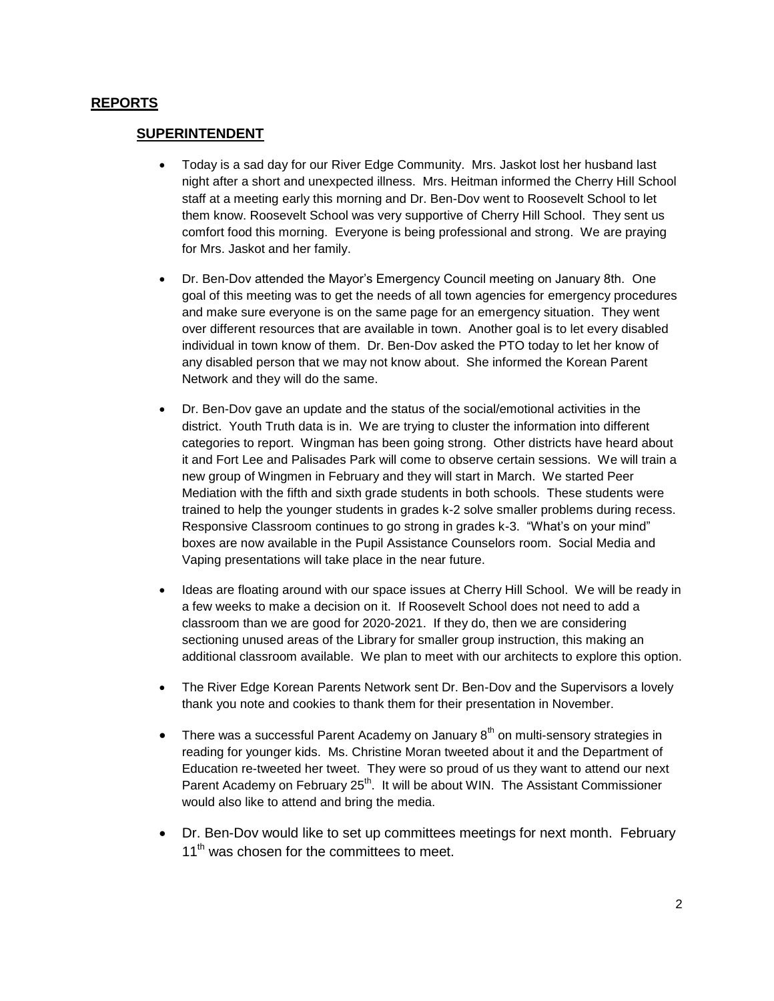### **REPORTS**

#### **SUPERINTENDENT**

- Today is a sad day for our River Edge Community. Mrs. Jaskot lost her husband last night after a short and unexpected illness. Mrs. Heitman informed the Cherry Hill School staff at a meeting early this morning and Dr. Ben-Dov went to Roosevelt School to let them know. Roosevelt School was very supportive of Cherry Hill School. They sent us comfort food this morning. Everyone is being professional and strong. We are praying for Mrs. Jaskot and her family.
- Dr. Ben-Dov attended the Mayor's Emergency Council meeting on January 8th. One goal of this meeting was to get the needs of all town agencies for emergency procedures and make sure everyone is on the same page for an emergency situation. They went over different resources that are available in town. Another goal is to let every disabled individual in town know of them. Dr. Ben-Dov asked the PTO today to let her know of any disabled person that we may not know about. She informed the Korean Parent Network and they will do the same.
- Dr. Ben-Dov gave an update and the status of the social/emotional activities in the district. Youth Truth data is in. We are trying to cluster the information into different categories to report. Wingman has been going strong. Other districts have heard about it and Fort Lee and Palisades Park will come to observe certain sessions. We will train a new group of Wingmen in February and they will start in March. We started Peer Mediation with the fifth and sixth grade students in both schools. These students were trained to help the younger students in grades k-2 solve smaller problems during recess. Responsive Classroom continues to go strong in grades k-3. "What's on your mind" boxes are now available in the Pupil Assistance Counselors room. Social Media and Vaping presentations will take place in the near future.
- Ideas are floating around with our space issues at Cherry Hill School. We will be ready in a few weeks to make a decision on it. If Roosevelt School does not need to add a classroom than we are good for 2020-2021. If they do, then we are considering sectioning unused areas of the Library for smaller group instruction, this making an additional classroom available. We plan to meet with our architects to explore this option.
- The River Edge Korean Parents Network sent Dr. Ben-Dov and the Supervisors a lovely thank you note and cookies to thank them for their presentation in November.
- There was a successful Parent Academy on January  $8<sup>th</sup>$  on multi-sensory strategies in reading for younger kids. Ms. Christine Moran tweeted about it and the Department of Education re-tweeted her tweet. They were so proud of us they want to attend our next Parent Academy on February 25<sup>th</sup>. It will be about WIN. The Assistant Commissioner would also like to attend and bring the media.
- Dr. Ben-Dov would like to set up committees meetings for next month. February 11<sup>th</sup> was chosen for the committees to meet.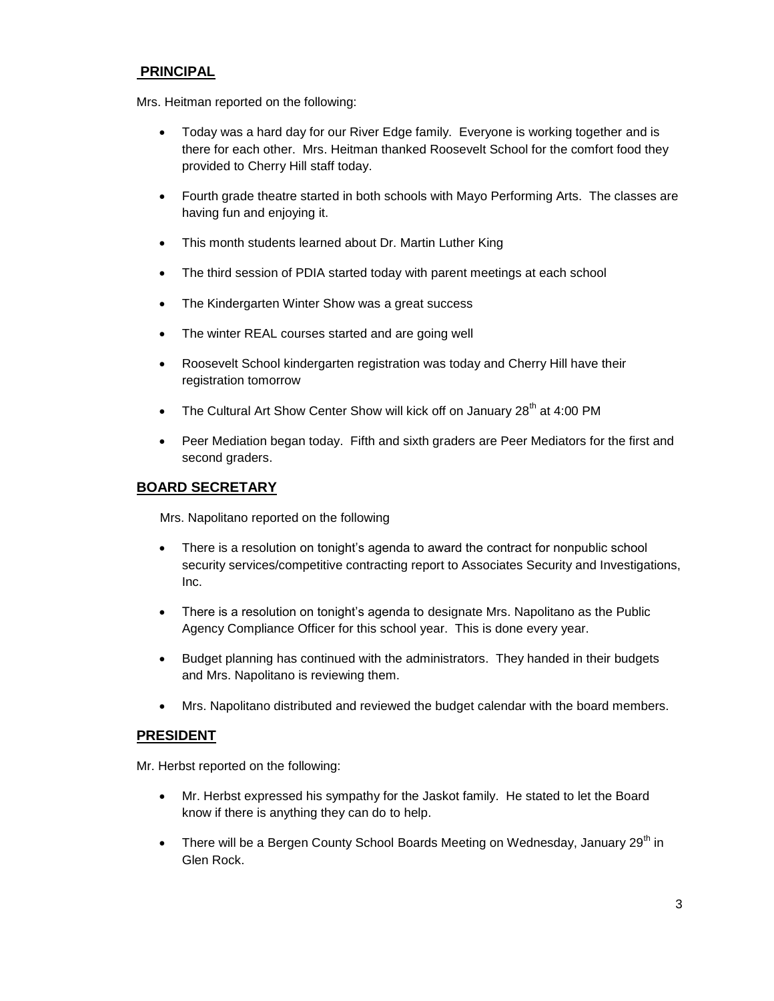## **PRINCIPAL**

Mrs. Heitman reported on the following:

- Today was a hard day for our River Edge family. Everyone is working together and is there for each other. Mrs. Heitman thanked Roosevelt School for the comfort food they provided to Cherry Hill staff today.
- Fourth grade theatre started in both schools with Mayo Performing Arts. The classes are having fun and enjoying it.
- This month students learned about Dr. Martin Luther King
- The third session of PDIA started today with parent meetings at each school
- The Kindergarten Winter Show was a great success
- The winter REAL courses started and are going well
- Roosevelt School kindergarten registration was today and Cherry Hill have their registration tomorrow
- The Cultural Art Show Center Show will kick off on January  $28<sup>th</sup>$  at 4:00 PM
- Peer Mediation began today. Fifth and sixth graders are Peer Mediators for the first and second graders.

#### **BOARD SECRETARY**

Mrs. Napolitano reported on the following

- There is a resolution on tonight's agenda to award the contract for nonpublic school security services/competitive contracting report to Associates Security and Investigations, Inc.
- There is a resolution on tonight's agenda to designate Mrs. Napolitano as the Public Agency Compliance Officer for this school year. This is done every year.
- Budget planning has continued with the administrators. They handed in their budgets and Mrs. Napolitano is reviewing them.
- Mrs. Napolitano distributed and reviewed the budget calendar with the board members.

#### **PRESIDENT**

Mr. Herbst reported on the following:

- Mr. Herbst expressed his sympathy for the Jaskot family. He stated to let the Board know if there is anything they can do to help.
- There will be a Bergen County School Boards Meeting on Wednesday, January 29<sup>th</sup> in Glen Rock.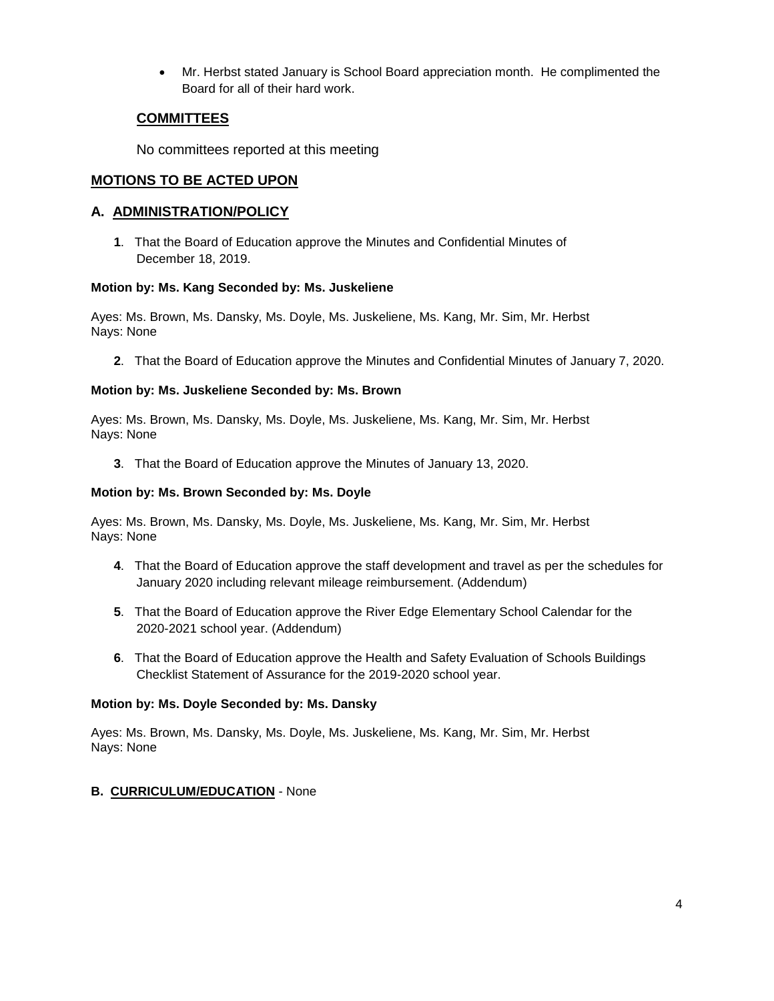Mr. Herbst stated January is School Board appreciation month. He complimented the Board for all of their hard work.

## **COMMITTEES**

No committees reported at this meeting

## **MOTIONS TO BE ACTED UPON**

### **A. ADMINISTRATION/POLICY**

**1**. That the Board of Education approve the Minutes and Confidential Minutes of December 18, 2019.

#### **Motion by: Ms. Kang Seconded by: Ms. Juskeliene**

Ayes: Ms. Brown, Ms. Dansky, Ms. Doyle, Ms. Juskeliene, Ms. Kang, Mr. Sim, Mr. Herbst Nays: None

**2**. That the Board of Education approve the Minutes and Confidential Minutes of January 7, 2020.

### **Motion by: Ms. Juskeliene Seconded by: Ms. Brown**

Ayes: Ms. Brown, Ms. Dansky, Ms. Doyle, Ms. Juskeliene, Ms. Kang, Mr. Sim, Mr. Herbst Nays: None

**3**. That the Board of Education approve the Minutes of January 13, 2020.

#### **Motion by: Ms. Brown Seconded by: Ms. Doyle**

Ayes: Ms. Brown, Ms. Dansky, Ms. Doyle, Ms. Juskeliene, Ms. Kang, Mr. Sim, Mr. Herbst Nays: None

- **4**. That the Board of Education approve the staff development and travel as per the schedules for January 2020 including relevant mileage reimbursement. (Addendum)
- **5**. That the Board of Education approve the River Edge Elementary School Calendar for the 2020-2021 school year. (Addendum)
- **6**. That the Board of Education approve the Health and Safety Evaluation of Schools Buildings Checklist Statement of Assurance for the 2019-2020 school year.

#### **Motion by: Ms. Doyle Seconded by: Ms. Dansky**

Ayes: Ms. Brown, Ms. Dansky, Ms. Doyle, Ms. Juskeliene, Ms. Kang, Mr. Sim, Mr. Herbst Nays: None

#### **B. CURRICULUM/EDUCATION** - None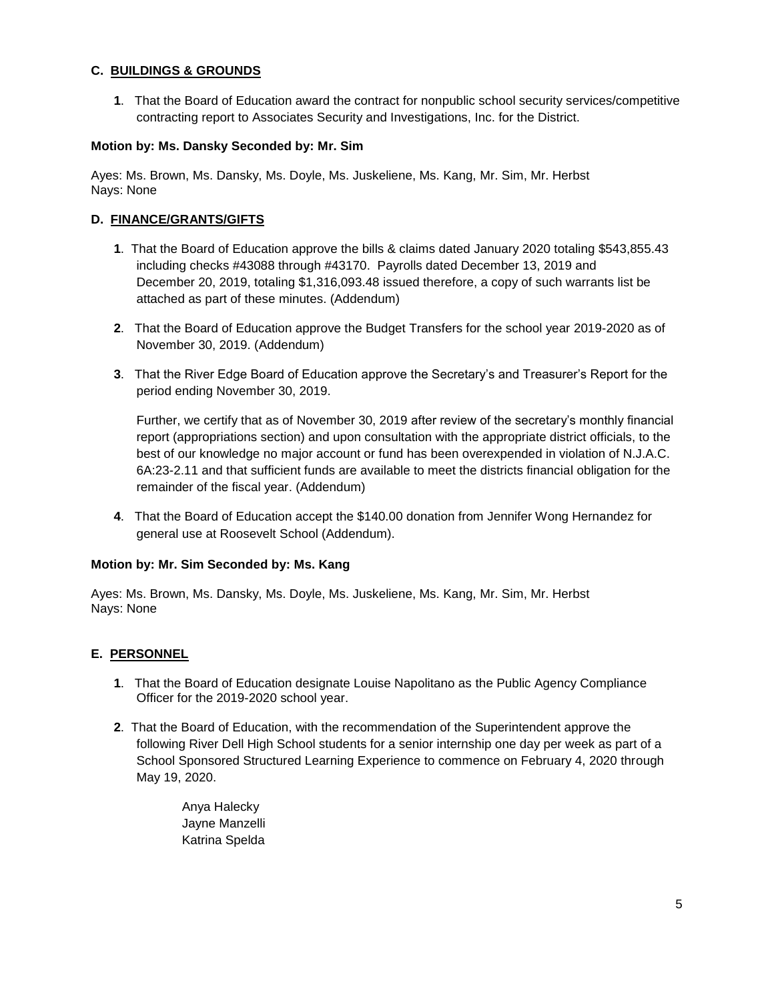#### **C. BUILDINGS & GROUNDS**

**1**. That the Board of Education award the contract for nonpublic school security services/competitive contracting report to Associates Security and Investigations, Inc. for the District.

#### **Motion by: Ms. Dansky Seconded by: Mr. Sim**

Ayes: Ms. Brown, Ms. Dansky, Ms. Doyle, Ms. Juskeliene, Ms. Kang, Mr. Sim, Mr. Herbst Nays: None

#### **D. FINANCE/GRANTS/GIFTS**

- **1**. That the Board of Education approve the bills & claims dated January 2020 totaling \$543,855.43 including checks #43088 through #43170. Payrolls dated December 13, 2019 and December 20, 2019, totaling \$1,316,093.48 issued therefore, a copy of such warrants list be attached as part of these minutes. (Addendum)
- **2**. That the Board of Education approve the Budget Transfers for the school year 2019-2020 as of November 30, 2019. (Addendum)
- **3**. That the River Edge Board of Education approve the Secretary's and Treasurer's Report for the period ending November 30, 2019.

Further, we certify that as of November 30, 2019 after review of the secretary's monthly financial report (appropriations section) and upon consultation with the appropriate district officials, to the best of our knowledge no major account or fund has been overexpended in violation of N.J.A.C. 6A:23-2.11 and that sufficient funds are available to meet the districts financial obligation for the remainder of the fiscal year. (Addendum)

**4**. That the Board of Education accept the \$140.00 donation from Jennifer Wong Hernandez for general use at Roosevelt School (Addendum).

#### **Motion by: Mr. Sim Seconded by: Ms. Kang**

Ayes: Ms. Brown, Ms. Dansky, Ms. Doyle, Ms. Juskeliene, Ms. Kang, Mr. Sim, Mr. Herbst Nays: None

#### **E. PERSONNEL**

- **1**. That the Board of Education designate Louise Napolitano as the Public Agency Compliance Officer for the 2019-2020 school year.
- **2**. That the Board of Education, with the recommendation of the Superintendent approve the following River Dell High School students for a senior internship one day per week as part of a School Sponsored Structured Learning Experience to commence on February 4, 2020 through May 19, 2020.
	- Anya Halecky Jayne Manzelli Katrina Spelda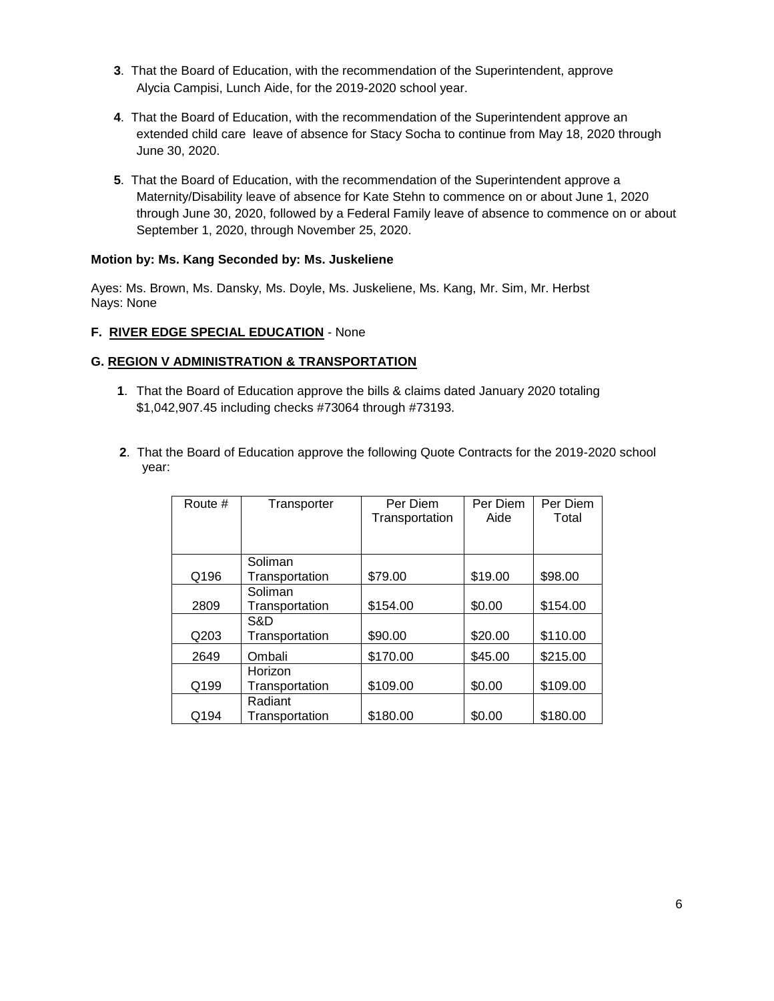- **3**. That the Board of Education, with the recommendation of the Superintendent, approve Alycia Campisi, Lunch Aide, for the 2019-2020 school year.
- **4**. That the Board of Education, with the recommendation of the Superintendent approve an extended child care leave of absence for Stacy Socha to continue from May 18, 2020 through June 30, 2020.
- **5**. That the Board of Education, with the recommendation of the Superintendent approve a Maternity/Disability leave of absence for Kate Stehn to commence on or about June 1, 2020 through June 30, 2020, followed by a Federal Family leave of absence to commence on or about September 1, 2020, through November 25, 2020.

#### **Motion by: Ms. Kang Seconded by: Ms. Juskeliene**

Ayes: Ms. Brown, Ms. Dansky, Ms. Doyle, Ms. Juskeliene, Ms. Kang, Mr. Sim, Mr. Herbst Nays: None

#### **F. RIVER EDGE SPECIAL EDUCATION** - None

#### **G. REGION V ADMINISTRATION & TRANSPORTATION**

- **1**. That the Board of Education approve the bills & claims dated January 2020 totaling \$1,042,907.45 including checks #73064 through #73193.
- **2**. That the Board of Education approve the following Quote Contracts for the 2019-2020 school year:

| Route # | Transporter    | Per Diem<br>Transportation | Per Diem<br>Aide | Per Diem<br>Total |
|---------|----------------|----------------------------|------------------|-------------------|
|         |                |                            |                  |                   |
|         | Soliman        |                            |                  |                   |
| Q196    | Transportation | \$79.00                    | \$19.00          | \$98.00           |
|         | Soliman        |                            |                  |                   |
| 2809    | Transportation | \$154.00                   | \$0.00           | \$154.00          |
|         | S&D            |                            |                  |                   |
| Q203    | Transportation | \$90.00                    | \$20.00          | \$110.00          |
| 2649    | Ombali         | \$170.00                   | \$45.00          | \$215.00          |
|         | Horizon        |                            |                  |                   |
| Q199    | Transportation | \$109.00                   | \$0.00           | \$109.00          |
|         | Radiant        |                            |                  |                   |
| Q194    | Transportation | \$180.00                   | \$0.00           | \$180.00          |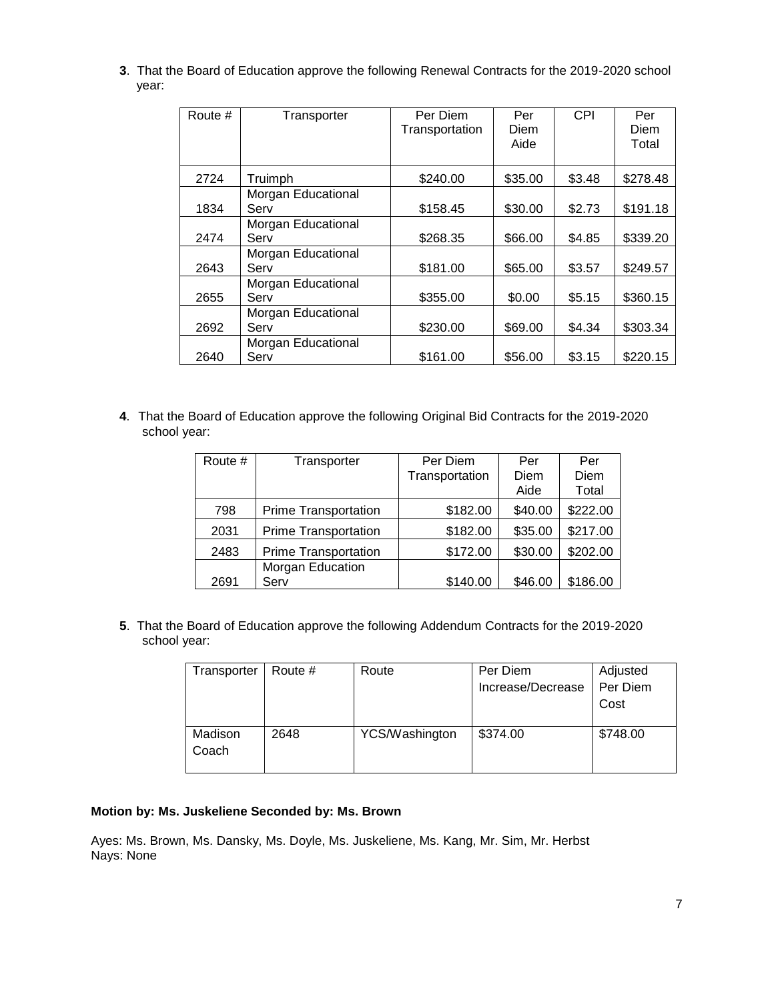**3**. That the Board of Education approve the following Renewal Contracts for the 2019-2020 school year:

| Route # | Transporter                | Per Diem<br>Transportation | Per<br>Diem<br>Aide | CPI    | Per<br>Diem<br>Total |
|---------|----------------------------|----------------------------|---------------------|--------|----------------------|
| 2724    | Truimph                    | \$240.00                   | \$35.00             | \$3.48 | \$278.48             |
| 1834    | Morgan Educational<br>Serv | \$158.45                   | \$30.00             | \$2.73 | \$191.18             |
| 2474    | Morgan Educational<br>Serv | \$268.35                   | \$66.00             | \$4.85 | \$339.20             |
| 2643    | Morgan Educational<br>Serv | \$181.00                   | \$65.00             | \$3.57 | \$249.57             |
| 2655    | Morgan Educational<br>Serv | \$355.00                   | \$0.00              | \$5.15 | \$360.15             |
| 2692    | Morgan Educational<br>Serv | \$230.00                   | \$69.00             | \$4.34 | \$303.34             |
| 2640    | Morgan Educational<br>Serv | \$161.00                   | \$56.00             | \$3.15 | \$220.15             |

**4**. That the Board of Education approve the following Original Bid Contracts for the 2019-2020 school year:

| Route # | Transporter                 | Per Diem       | Per     | Per      |
|---------|-----------------------------|----------------|---------|----------|
|         |                             | Transportation | Diem    | Diem     |
|         |                             |                | Aide    | Total    |
| 798     | <b>Prime Transportation</b> | \$182.00       | \$40.00 | \$222.00 |
| 2031    | <b>Prime Transportation</b> | \$182.00       | \$35.00 | \$217.00 |
| 2483    | <b>Prime Transportation</b> | \$172.00       | \$30.00 | \$202.00 |
|         | Morgan Education            |                |         |          |
| 2691    | Serv                        | \$140.00       | \$46.00 | \$186.00 |

**5**. That the Board of Education approve the following Addendum Contracts for the 2019-2020 school year:

| Transporter      | Route # | Route          | Per Diem<br>Increase/Decrease | Adjusted<br>Per Diem<br>Cost |
|------------------|---------|----------------|-------------------------------|------------------------------|
| Madison<br>Coach | 2648    | YCS/Washington | \$374.00                      | \$748.00                     |

#### **Motion by: Ms. Juskeliene Seconded by: Ms. Brown**

Ayes: Ms. Brown, Ms. Dansky, Ms. Doyle, Ms. Juskeliene, Ms. Kang, Mr. Sim, Mr. Herbst Nays: None